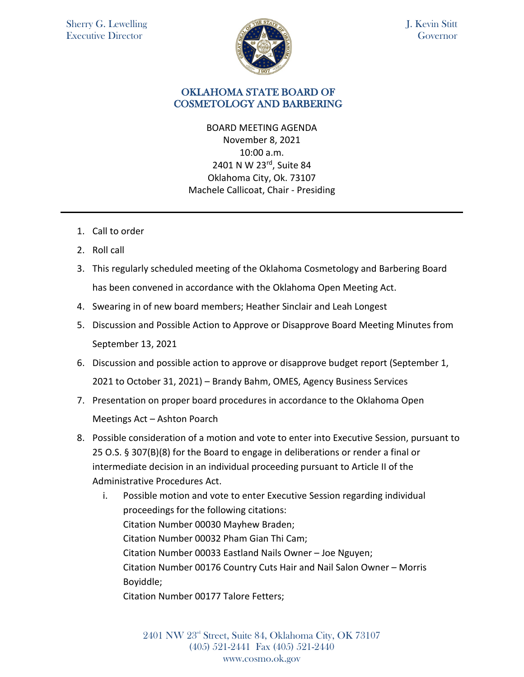

J. Kevin Stitt Governor

## OKLAHOMA STATE BOARD OF COSMETOLOGY AND BARBERING

BOARD MEETING AGENDA November 8, 2021 10:00 a.m. 2401 N W 23rd, Suite 84 Oklahoma City, Ok. 73107 Machele Callicoat, Chair - Presiding

- 1. Call to order
- 2. Roll call
- 3. This regularly scheduled meeting of the Oklahoma Cosmetology and Barbering Board has been convened in accordance with the Oklahoma Open Meeting Act.
- 4. Swearing in of new board members; Heather Sinclair and Leah Longest
- 5. Discussion and Possible Action to Approve or Disapprove Board Meeting Minutes from September 13, 2021
- 6. Discussion and possible action to approve or disapprove budget report (September 1, 2021 to October 31, 2021) – Brandy Bahm, OMES, Agency Business Services
- 7. Presentation on proper board procedures in accordance to the Oklahoma Open Meetings Act – Ashton Poarch
- 8. Possible consideration of a motion and vote to enter into Executive Session, pursuant to 25 O.S. § 307(B)(8) for the Board to engage in deliberations or render a final or intermediate decision in an individual proceeding pursuant to Article II of the Administrative Procedures Act.
	- i. Possible motion and vote to enter Executive Session regarding individual proceedings for the following citations: Citation Number 00030 Mayhew Braden; Citation Number 00032 Pham Gian Thi Cam; Citation Number 00033 Eastland Nails Owner – Joe Nguyen; Citation Number 00176 Country Cuts Hair and Nail Salon Owner – Morris Boyiddle;

Citation Number 00177 Talore Fetters;

2401 NW 23rd Street, Suite 84, Oklahoma City, OK 73107 (405) 521-2441 Fax (405) 521-2440 www.cosmo.ok.gov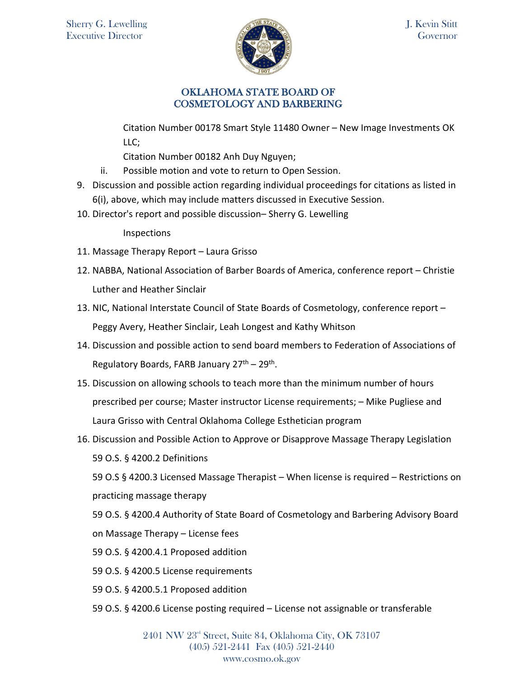

## OKLAHOMA STATE BOARD OF COSMETOLOGY AND BARBERING

Citation Number 00178 Smart Style 11480 Owner – New Image Investments OK LLC;

Citation Number 00182 Anh Duy Nguyen;

- ii. Possible motion and vote to return to Open Session.
- 9. Discussion and possible action regarding individual proceedings for citations as listed in 6(i), above, which may include matters discussed in Executive Session.
- 10. Director's report and possible discussion– Sherry G. Lewelling

Inspections

- 11. Massage Therapy Report Laura Grisso
- 12. NABBA, National Association of Barber Boards of America, conference report Christie Luther and Heather Sinclair
- 13. NIC, National Interstate Council of State Boards of Cosmetology, conference report Peggy Avery, Heather Sinclair, Leah Longest and Kathy Whitson
- 14. Discussion and possible action to send board members to Federation of Associations of Regulatory Boards, FARB January  $27<sup>th</sup> - 29<sup>th</sup>$ .
- 15. Discussion on allowing schools to teach more than the minimum number of hours prescribed per course; Master instructor License requirements; – Mike Pugliese and Laura Grisso with Central Oklahoma College Esthetician program
- 16. Discussion and Possible Action to Approve or Disapprove Massage Therapy Legislation 59 O.S. § 4200.2 Definitions

59 O.S § 4200.3 Licensed Massage Therapist – When license is required – Restrictions on practicing massage therapy

59 O.S. § 4200.4 Authority of State Board of Cosmetology and Barbering Advisory Board on Massage Therapy – License fees

- 59 O.S. § 4200.4.1 Proposed addition
- 59 O.S. § 4200.5 License requirements
- 59 O.S. § 4200.5.1 Proposed addition
- 59 O.S. § 4200.6 License posting required License not assignable or transferable

2401 NW 23rd Street, Suite 84, Oklahoma City, OK 73107 (405) 521-2441 Fax (405) 521-2440 www.cosmo.ok.gov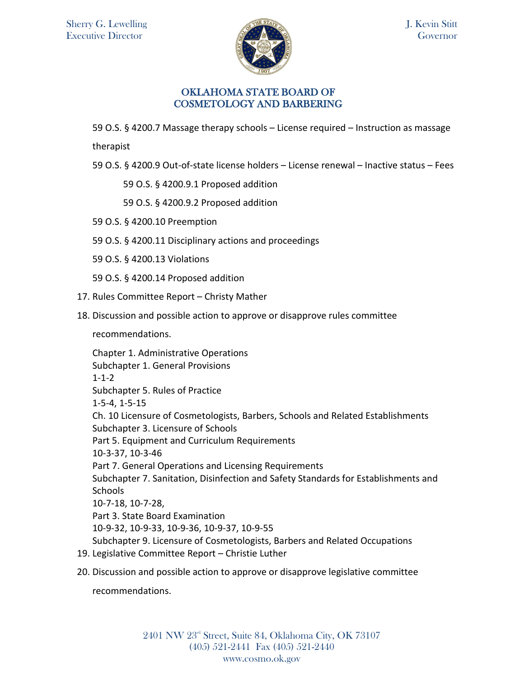

## OKLAHOMA STATE BOARD OF COSMETOLOGY AND BARBERING

59 O.S. § 4200.7 Massage therapy schools – License required – Instruction as massage

therapist

59 O.S. § 4200.9 Out-of-state license holders – License renewal – Inactive status – Fees

59 O.S. § 4200.9.1 Proposed addition

59 O.S. § 4200.9.2 Proposed addition

- 59 O.S. § 4200.10 Preemption
- 59 O.S. § 4200.11 Disciplinary actions and proceedings
- 59 O.S. § 4200.13 Violations
- 59 O.S. § 4200.14 Proposed addition
- 17. Rules Committee Report Christy Mather
- 18. Discussion and possible action to approve or disapprove rules committee

recommendations.

Chapter 1. Administrative Operations Subchapter 1. General Provisions 1-1-2 Subchapter 5. Rules of Practice 1-5-4, 1-5-15 Ch. 10 Licensure of Cosmetologists, Barbers, Schools and Related Establishments Subchapter 3. Licensure of Schools Part 5. Equipment and Curriculum Requirements 10-3-37, 10-3-46 Part 7. General Operations and Licensing Requirements Subchapter 7. Sanitation, Disinfection and Safety Standards for Establishments and **Schools** 10-7-18, 10-7-28, Part 3. State Board Examination 10-9-32, 10-9-33, 10-9-36, 10-9-37, 10-9-55 Subchapter 9. Licensure of Cosmetologists, Barbers and Related Occupations 19. Legislative Committee Report – Christie Luther

20. Discussion and possible action to approve or disapprove legislative committee

recommendations.